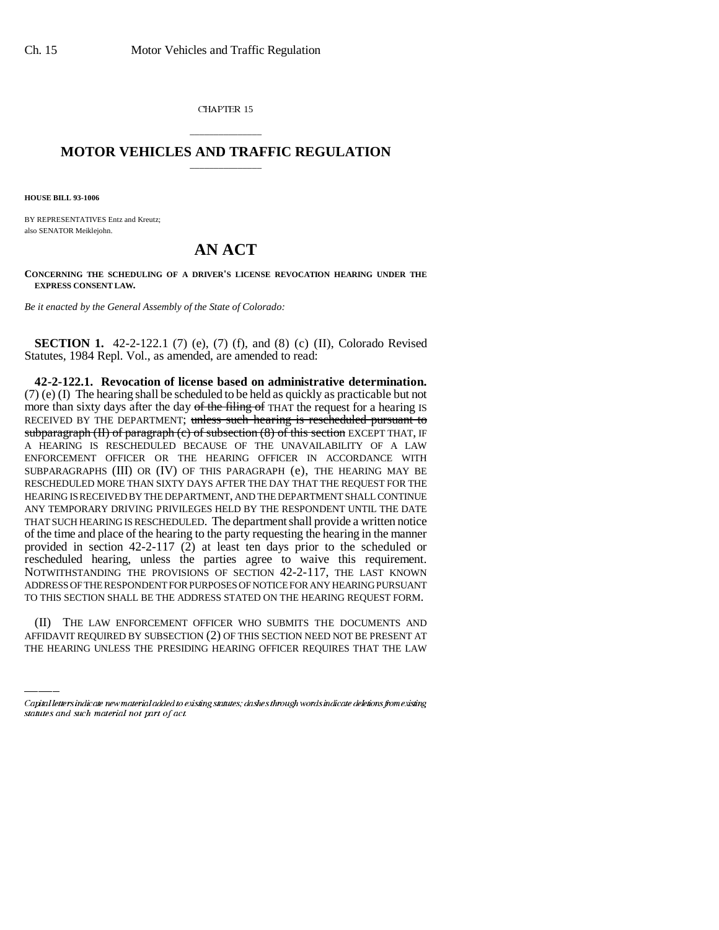CHAPTER 15

## \_\_\_\_\_\_\_\_\_\_\_\_\_\_\_ **MOTOR VEHICLES AND TRAFFIC REGULATION** \_\_\_\_\_\_\_\_\_\_\_\_\_\_\_

**HOUSE BILL 93-1006**

BY REPRESENTATIVES Entz and Kreutz; also SENATOR Meiklejohn.

## **AN ACT**

**CONCERNING THE SCHEDULING OF A DRIVER'S LICENSE REVOCATION HEARING UNDER THE EXPRESS CONSENT LAW.**

*Be it enacted by the General Assembly of the State of Colorado:*

**SECTION 1.** 42-2-122.1 (7) (e), (7) (f), and (8) (c) (II), Colorado Revised Statutes, 1984 Repl. Vol., as amended, are amended to read:

TO THIS SECTION SHALL BE THE ADDRESS STATED ON THE HEARING REQUEST FORM. **42-2-122.1. Revocation of license based on administrative determination.** (7) (e) (I) The hearing shall be scheduled to be held as quickly as practicable but not more than sixty days after the day of the filing of THAT the request for a hearing IS RECEIVED BY THE DEPARTMENT; unless such hearing is rescheduled pursuant to subparagraph (II) of paragraph (c) of subsection  $(8)$  of this section EXCEPT THAT, IF A HEARING IS RESCHEDULED BECAUSE OF THE UNAVAILABILITY OF A LAW ENFORCEMENT OFFICER OR THE HEARING OFFICER IN ACCORDANCE WITH SUBPARAGRAPHS (III) OR (IV) OF THIS PARAGRAPH (e), THE HEARING MAY BE RESCHEDULED MORE THAN SIXTY DAYS AFTER THE DAY THAT THE REQUEST FOR THE HEARING IS RECEIVED BY THE DEPARTMENT, AND THE DEPARTMENT SHALL CONTINUE ANY TEMPORARY DRIVING PRIVILEGES HELD BY THE RESPONDENT UNTIL THE DATE THAT SUCH HEARING IS RESCHEDULED. The department shall provide a written notice of the time and place of the hearing to the party requesting the hearing in the manner provided in section 42-2-117 (2) at least ten days prior to the scheduled or rescheduled hearing, unless the parties agree to waive this requirement. NOTWITHSTANDING THE PROVISIONS OF SECTION 42-2-117, THE LAST KNOWN ADDRESS OF THE RESPONDENT FOR PURPOSES OF NOTICE FOR ANY HEARING PURSUANT

(II) THE LAW ENFORCEMENT OFFICER WHO SUBMITS THE DOCUMENTS AND AFFIDAVIT REQUIRED BY SUBSECTION (2) OF THIS SECTION NEED NOT BE PRESENT AT THE HEARING UNLESS THE PRESIDING HEARING OFFICER REQUIRES THAT THE LAW

Capital letters indicate new material added to existing statutes; dashes through words indicate deletions from existing statutes and such material not part of act.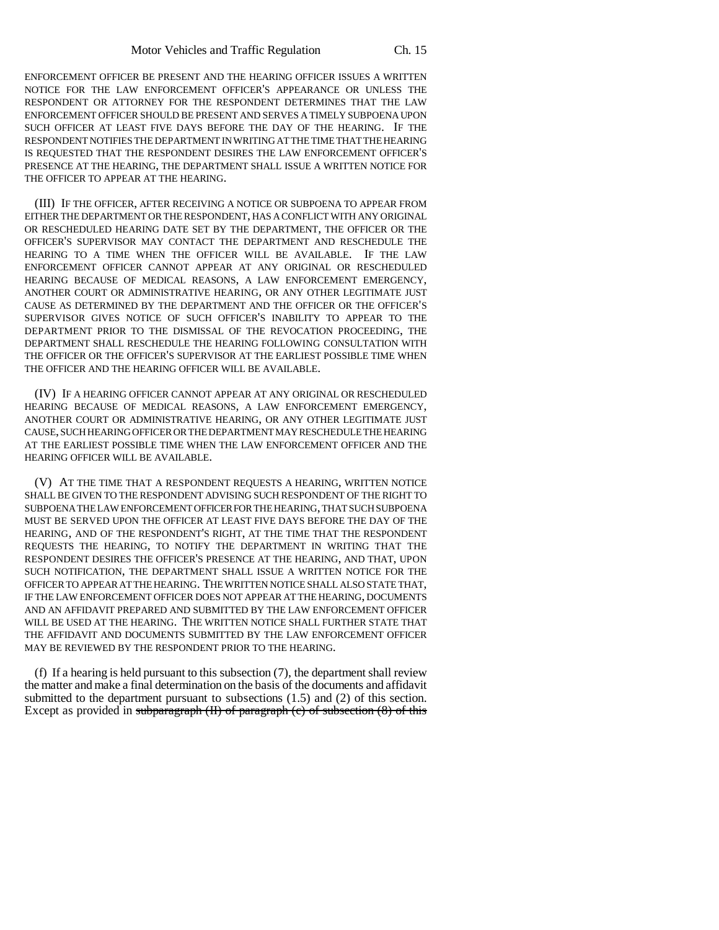ENFORCEMENT OFFICER BE PRESENT AND THE HEARING OFFICER ISSUES A WRITTEN NOTICE FOR THE LAW ENFORCEMENT OFFICER'S APPEARANCE OR UNLESS THE RESPONDENT OR ATTORNEY FOR THE RESPONDENT DETERMINES THAT THE LAW ENFORCEMENT OFFICER SHOULD BE PRESENT AND SERVES A TIMELY SUBPOENA UPON SUCH OFFICER AT LEAST FIVE DAYS BEFORE THE DAY OF THE HEARING. IF THE RESPONDENT NOTIFIES THE DEPARTMENT IN WRITING AT THE TIME THAT THE HEARING IS REQUESTED THAT THE RESPONDENT DESIRES THE LAW ENFORCEMENT OFFICER'S PRESENCE AT THE HEARING, THE DEPARTMENT SHALL ISSUE A WRITTEN NOTICE FOR THE OFFICER TO APPEAR AT THE HEARING.

(III) IF THE OFFICER, AFTER RECEIVING A NOTICE OR SUBPOENA TO APPEAR FROM EITHER THE DEPARTMENT OR THE RESPONDENT, HAS A CONFLICT WITH ANY ORIGINAL OR RESCHEDULED HEARING DATE SET BY THE DEPARTMENT, THE OFFICER OR THE OFFICER'S SUPERVISOR MAY CONTACT THE DEPARTMENT AND RESCHEDULE THE HEARING TO A TIME WHEN THE OFFICER WILL BE AVAILABLE. IF THE LAW ENFORCEMENT OFFICER CANNOT APPEAR AT ANY ORIGINAL OR RESCHEDULED HEARING BECAUSE OF MEDICAL REASONS, A LAW ENFORCEMENT EMERGENCY, ANOTHER COURT OR ADMINISTRATIVE HEARING, OR ANY OTHER LEGITIMATE JUST CAUSE AS DETERMINED BY THE DEPARTMENT AND THE OFFICER OR THE OFFICER'S SUPERVISOR GIVES NOTICE OF SUCH OFFICER'S INABILITY TO APPEAR TO THE DEPARTMENT PRIOR TO THE DISMISSAL OF THE REVOCATION PROCEEDING, THE DEPARTMENT SHALL RESCHEDULE THE HEARING FOLLOWING CONSULTATION WITH THE OFFICER OR THE OFFICER'S SUPERVISOR AT THE EARLIEST POSSIBLE TIME WHEN THE OFFICER AND THE HEARING OFFICER WILL BE AVAILABLE.

(IV) IF A HEARING OFFICER CANNOT APPEAR AT ANY ORIGINAL OR RESCHEDULED HEARING BECAUSE OF MEDICAL REASONS, A LAW ENFORCEMENT EMERGENCY, ANOTHER COURT OR ADMINISTRATIVE HEARING, OR ANY OTHER LEGITIMATE JUST CAUSE, SUCH HEARING OFFICER OR THE DEPARTMENT MAY RESCHEDULE THE HEARING AT THE EARLIEST POSSIBLE TIME WHEN THE LAW ENFORCEMENT OFFICER AND THE HEARING OFFICER WILL BE AVAILABLE.

(V) AT THE TIME THAT A RESPONDENT REQUESTS A HEARING, WRITTEN NOTICE SHALL BE GIVEN TO THE RESPONDENT ADVISING SUCH RESPONDENT OF THE RIGHT TO SUBPOENA THE LAW ENFORCEMENT OFFICER FOR THE HEARING, THAT SUCH SUBPOENA MUST BE SERVED UPON THE OFFICER AT LEAST FIVE DAYS BEFORE THE DAY OF THE HEARING, AND OF THE RESPONDENT'S RIGHT, AT THE TIME THAT THE RESPONDENT REQUESTS THE HEARING, TO NOTIFY THE DEPARTMENT IN WRITING THAT THE RESPONDENT DESIRES THE OFFICER'S PRESENCE AT THE HEARING, AND THAT, UPON SUCH NOTIFICATION, THE DEPARTMENT SHALL ISSUE A WRITTEN NOTICE FOR THE OFFICER TO APPEAR AT THE HEARING. THE WRITTEN NOTICE SHALL ALSO STATE THAT, IF THE LAW ENFORCEMENT OFFICER DOES NOT APPEAR AT THE HEARING, DOCUMENTS AND AN AFFIDAVIT PREPARED AND SUBMITTED BY THE LAW ENFORCEMENT OFFICER WILL BE USED AT THE HEARING. THE WRITTEN NOTICE SHALL FURTHER STATE THAT THE AFFIDAVIT AND DOCUMENTS SUBMITTED BY THE LAW ENFORCEMENT OFFICER MAY BE REVIEWED BY THE RESPONDENT PRIOR TO THE HEARING.

(f) If a hearing is held pursuant to this subsection (7), the department shall review the matter and make a final determination on the basis of the documents and affidavit submitted to the department pursuant to subsections  $(1.5)$  and  $(2)$  of this section. Except as provided in subparagraph (II) of paragraph (c) of subsection (8) of this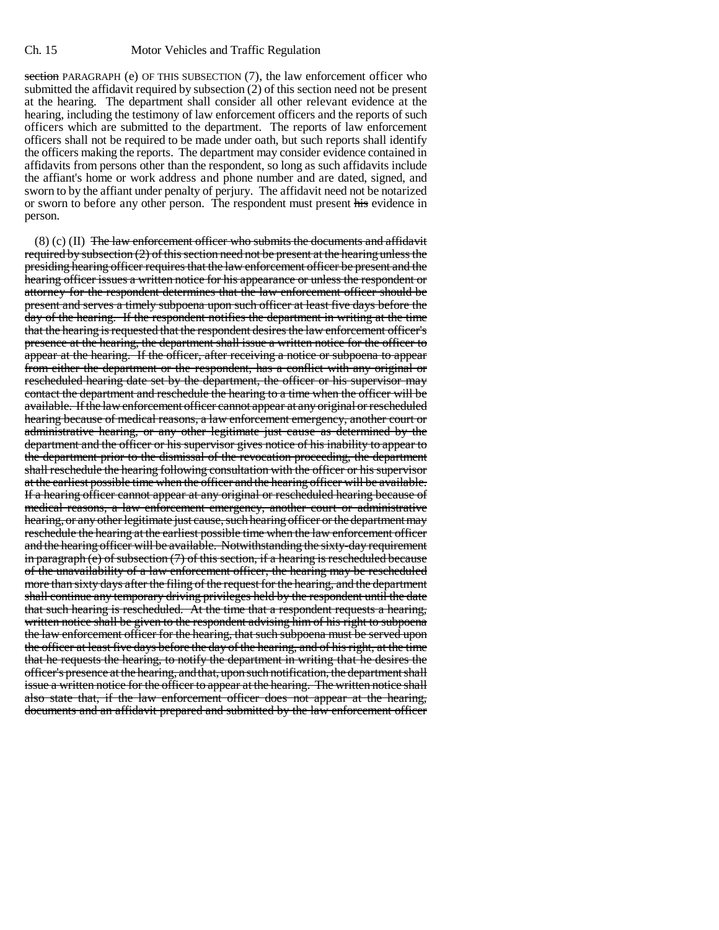section PARAGRAPH (e) OF THIS SUBSECTION (7), the law enforcement officer who submitted the affidavit required by subsection (2) of this section need not be present at the hearing. The department shall consider all other relevant evidence at the hearing, including the testimony of law enforcement officers and the reports of such officers which are submitted to the department. The reports of law enforcement officers shall not be required to be made under oath, but such reports shall identify the officers making the reports. The department may consider evidence contained in affidavits from persons other than the respondent, so long as such affidavits include the affiant's home or work address and phone number and are dated, signed, and sworn to by the affiant under penalty of perjury. The affidavit need not be notarized or sworn to before any other person. The respondent must present his evidence in person.

 $(8)$  (c) (II) The law enforcement officer who submits the documents and affidavit required by subsection  $(2)$  of this section need not be present at the hearing unless the presiding hearing officer requires that the law enforcement officer be present and the hearing officer issues a written notice for his appearance or unless the respondent or attorney for the respondent determines that the law enforcement officer should be present and serves a timely subpoena upon such officer at least five days before the day of the hearing. If the respondent notifies the department in writing at the time that the hearing is requested that the respondent desires the law enforcement officer's presence at the hearing, the department shall issue a written notice for the officer to appear at the hearing. If the officer, after receiving a notice or subpoena to appear from either the department or the respondent, has a conflict with any original or rescheduled hearing date set by the department, the officer or his supervisor may contact the department and reschedule the hearing to a time when the officer will be available. If the law enforcement officer cannot appear at any original or rescheduled hearing because of medical reasons, a law enforcement emergency, another court or administrative hearing, or any other legitimate just cause as determined by the department and the officer or his supervisor gives notice of his inability to appear to the department prior to the dismissal of the revocation proceeding, the department shall reschedule the hearing following consultation with the officer or his supervisor at the earliest possible time when the officer and the hearing officer will be available. If a hearing officer cannot appear at any original or rescheduled hearing because of medical reasons, a law enforcement emergency, another court or administrative hearing, or any other legitimate just cause, such hearing officer or the department may reschedule the hearing at the earliest possible time when the law enforcement officer and the hearing officer will be available. Notwithstanding the sixty-day requirement in paragraph (e) of subsection (7) of this section, if a hearing is rescheduled because of the unavailability of a law enforcement officer, the hearing may be rescheduled more than sixty days after the filing of the request for the hearing, and the department shall continue any temporary driving privileges held by the respondent until the date that such hearing is rescheduled. At the time that a respondent requests a hearing, written notice shall be given to the respondent advising him of his right to subpoena the law enforcement officer for the hearing, that such subpoena must be served upon the officer at least five days before the day of the hearing, and of his right, at the time that he requests the hearing, to notify the department in writing that he desires the officer's presence at the hearing, and that, upon such notification, the department shall issue a written notice for the officer to appear at the hearing. The written notice shall also state that, if the law enforcement officer does not appear at the hearing, documents and an affidavit prepared and submitted by the law enforcement officer